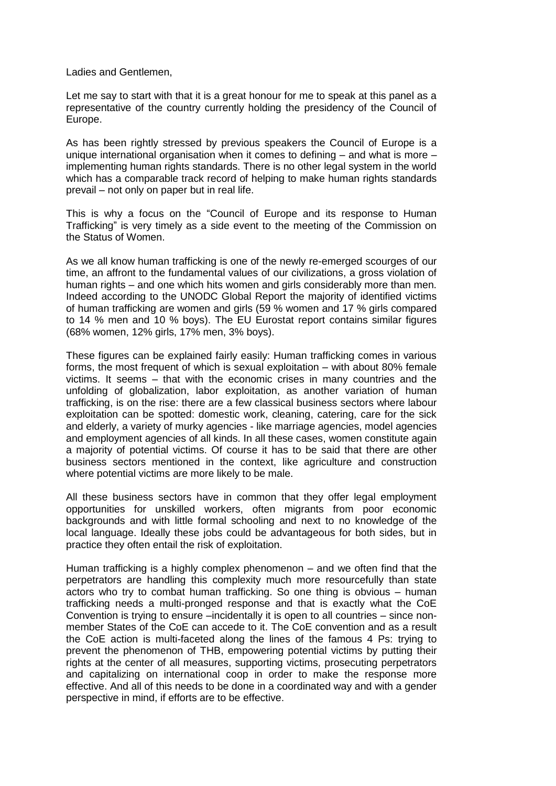Ladies and Gentlemen,

Let me say to start with that it is a great honour for me to speak at this panel as a representative of the country currently holding the presidency of the Council of Europe.

As has been rightly stressed by previous speakers the Council of Europe is a unique international organisation when it comes to defining – and what is more – implementing human rights standards. There is no other legal system in the world which has a comparable track record of helping to make human rights standards prevail – not only on paper but in real life.

This is why a focus on the "Council of Europe and its response to Human Trafficking" is very timely as a side event to the meeting of the Commission on the Status of Women.

As we all know human trafficking is one of the newly re-emerged scourges of our time, an affront to the fundamental values of our civilizations, a gross violation of human rights – and one which hits women and girls considerably more than men. Indeed according to the UNODC Global Report the majority of identified victims of human trafficking are women and girls (59 % women and 17 % girls compared to 14 % men and 10 % boys). The EU Eurostat report contains similar figures (68% women, 12% girls, 17% men, 3% boys).

These figures can be explained fairly easily: Human trafficking comes in various forms, the most frequent of which is sexual exploitation – with about 80% female victims. It seems – that with the economic crises in many countries and the unfolding of globalization, labor exploitation, as another variation of human trafficking, is on the rise: there are a few classical business sectors where labour exploitation can be spotted: domestic work, cleaning, catering, care for the sick and elderly, a variety of murky agencies - like marriage agencies, model agencies and employment agencies of all kinds. In all these cases, women constitute again a majority of potential victims. Of course it has to be said that there are other business sectors mentioned in the context, like agriculture and construction where potential victims are more likely to be male.

All these business sectors have in common that they offer legal employment opportunities for unskilled workers, often migrants from poor economic backgrounds and with little formal schooling and next to no knowledge of the local language. Ideally these jobs could be advantageous for both sides, but in practice they often entail the risk of exploitation.

Human trafficking is a highly complex phenomenon – and we often find that the perpetrators are handling this complexity much more resourcefully than state actors who try to combat human trafficking. So one thing is obvious – human trafficking needs a multi-pronged response and that is exactly what the CoE Convention is trying to ensure –incidentally it is open to all countries – since nonmember States of the CoE can accede to it. The CoE convention and as a result the CoE action is multi-faceted along the lines of the famous 4 Ps: trying to prevent the phenomenon of THB, empowering potential victims by putting their rights at the center of all measures, supporting victims, prosecuting perpetrators and capitalizing on international coop in order to make the response more effective. And all of this needs to be done in a coordinated way and with a gender perspective in mind, if efforts are to be effective.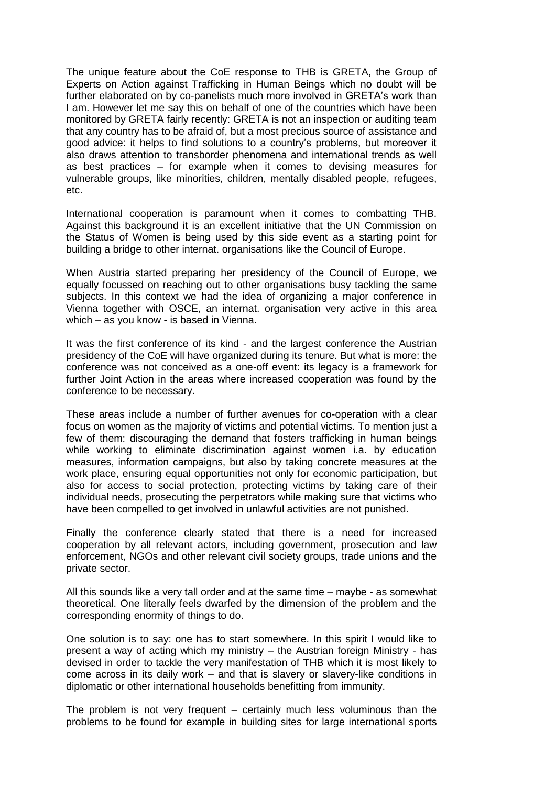The unique feature about the CoE response to THB is GRETA, the Group of Experts on Action against Trafficking in Human Beings which no doubt will be further elaborated on by co-panelists much more involved in GRETA's work than I am. However let me say this on behalf of one of the countries which have been monitored by GRETA fairly recently: GRETA is not an inspection or auditing team that any country has to be afraid of, but a most precious source of assistance and good advice: it helps to find solutions to a country's problems, but moreover it also draws attention to transborder phenomena and international trends as well as best practices – for example when it comes to devising measures for vulnerable groups, like minorities, children, mentally disabled people, refugees, etc.

International cooperation is paramount when it comes to combatting THB. Against this background it is an excellent initiative that the UN Commission on the Status of Women is being used by this side event as a starting point for building a bridge to other internat. organisations like the Council of Europe.

When Austria started preparing her presidency of the Council of Europe, we equally focussed on reaching out to other organisations busy tackling the same subjects. In this context we had the idea of organizing a major conference in Vienna together with OSCE, an internat. organisation very active in this area which – as you know - is based in Vienna.

It was the first conference of its kind - and the largest conference the Austrian presidency of the CoE will have organized during its tenure. But what is more: the conference was not conceived as a one-off event: its legacy is a framework for further Joint Action in the areas where increased cooperation was found by the conference to be necessary.

These areas include a number of further avenues for co-operation with a clear focus on women as the majority of victims and potential victims. To mention just a few of them: discouraging the demand that fosters trafficking in human beings while working to eliminate discrimination against women i.a. by education measures, information campaigns, but also by taking concrete measures at the work place, ensuring equal opportunities not only for economic participation, but also for access to social protection, protecting victims by taking care of their individual needs, prosecuting the perpetrators while making sure that victims who have been compelled to get involved in unlawful activities are not punished.

Finally the conference clearly stated that there is a need for increased cooperation by all relevant actors, including government, prosecution and law enforcement, NGOs and other relevant civil society groups, trade unions and the private sector.

All this sounds like a very tall order and at the same time – maybe - as somewhat theoretical. One literally feels dwarfed by the dimension of the problem and the corresponding enormity of things to do.

One solution is to say: one has to start somewhere. In this spirit I would like to present a way of acting which my ministry – the Austrian foreign Ministry - has devised in order to tackle the very manifestation of THB which it is most likely to come across in its daily work – and that is slavery or slavery-like conditions in diplomatic or other international households benefitting from immunity.

The problem is not very frequent – certainly much less voluminous than the problems to be found for example in building sites for large international sports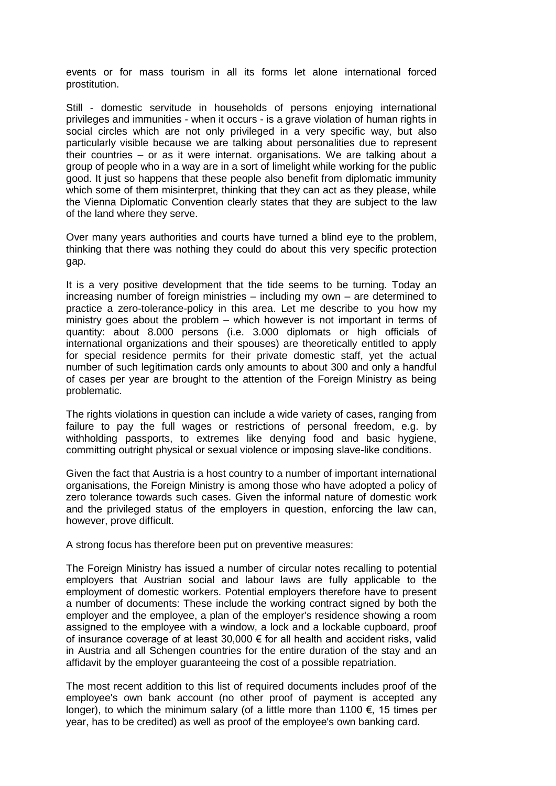events or for mass tourism in all its forms let alone international forced prostitution.

Still - domestic servitude in households of persons enjoying international privileges and immunities - when it occurs - is a grave violation of human rights in social circles which are not only privileged in a very specific way, but also particularly visible because we are talking about personalities due to represent their countries – or as it were internat. organisations. We are talking about a group of people who in a way are in a sort of limelight while working for the public good. It just so happens that these people also benefit from diplomatic immunity which some of them misinterpret, thinking that they can act as they please, while the Vienna Diplomatic Convention clearly states that they are subject to the law of the land where they serve.

Over many years authorities and courts have turned a blind eye to the problem, thinking that there was nothing they could do about this very specific protection gap.

It is a very positive development that the tide seems to be turning. Today an increasing number of foreign ministries – including my own – are determined to practice a zero-tolerance-policy in this area. Let me describe to you how my ministry goes about the problem – which however is not important in terms of quantity: about 8.000 persons (i.e. 3.000 diplomats or high officials of international organizations and their spouses) are theoretically entitled to apply for special residence permits for their private domestic staff, yet the actual number of such legitimation cards only amounts to about 300 and only a handful of cases per year are brought to the attention of the Foreign Ministry as being problematic.

The rights violations in question can include a wide variety of cases, ranging from failure to pay the full wages or restrictions of personal freedom, e.g. by withholding passports, to extremes like denying food and basic hygiene, committing outright physical or sexual violence or imposing slave-like conditions.

Given the fact that Austria is a host country to a number of important international organisations, the Foreign Ministry is among those who have adopted a policy of zero tolerance towards such cases. Given the informal nature of domestic work and the privileged status of the employers in question, enforcing the law can, however, prove difficult.

A strong focus has therefore been put on preventive measures:

The Foreign Ministry has issued a number of circular notes recalling to potential employers that Austrian social and labour laws are fully applicable to the employment of domestic workers. Potential employers therefore have to present a number of documents: These include the working contract signed by both the employer and the employee, a plan of the employer's residence showing a room assigned to the employee with a window, a lock and a lockable cupboard, proof of insurance coverage of at least 30,000  $\epsilon$  for all health and accident risks, valid in Austria and all Schengen countries for the entire duration of the stay and an affidavit by the employer guaranteeing the cost of a possible repatriation.

The most recent addition to this list of required documents includes proof of the employee's own bank account (no other proof of payment is accepted any longer), to which the minimum salary (of a little more than 1100  $\epsilon$ , 15 times per year, has to be credited) as well as proof of the employee's own banking card.